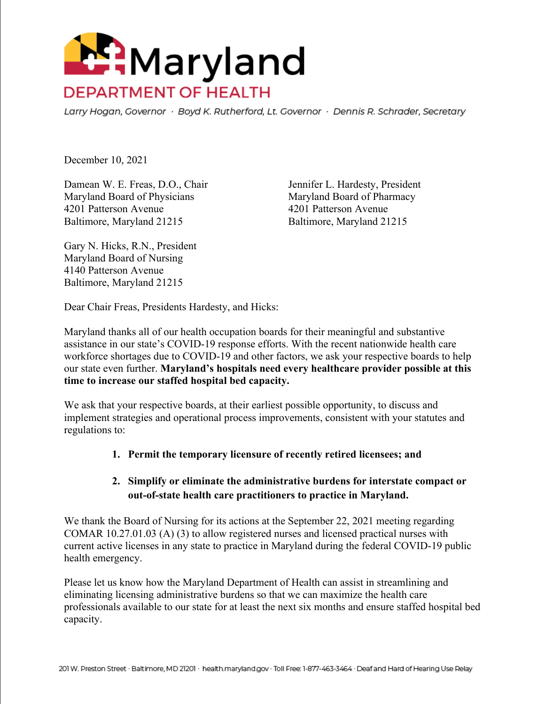

Larry Hogan, Governor · Boyd K. Rutherford, Lt. Governor · Dennis R. Schrader, Secretary

December 10, 2021

Damean W. E. Freas, D.O., Chair Jennifer L. Hardesty, President Maryland Board of Physicians Maryland Board of Pharmacy 4201 Patterson Avenue 4201 Patterson Avenue Baltimore, Maryland 21215 Baltimore, Maryland 21215

Gary N. Hicks, R.N., President Maryland Board of Nursing 4140 Patterson Avenue Baltimore, Maryland 21215

Dear Chair Freas, Presidents Hardesty, and Hicks:

Maryland thanks all of our health occupation boards for their meaningful and substantive assistance in our state's COVID-19 response efforts. With the recent nationwide health care workforce shortages due to COVID-19 and other factors, we ask your respective boards to help our state even further. **Maryland's hospitals need every healthcare provider possible at this time to increase our staffed hospital bed capacity.**

We ask that your respective boards, at their earliest possible opportunity, to discuss and implement strategies and operational process improvements, consistent with your statutes and regulations to:

## **1. Permit the temporary licensure of recently retired licensees; and**

## **2. Simplify or eliminate the administrative burdens for interstate compact or out-of-state health care practitioners to practice in Maryland.**

We thank the Board of Nursing for its actions at the September 22, 2021 meeting regarding COMAR 10.27.01.03 (A) (3) to allow registered nurses and licensed practical nurses with current active licenses in any state to practice in Maryland during the federal COVID-19 public health emergency.

Please let us know how the Maryland Department of Health can assist in streamlining and eliminating licensing administrative burdens so that we can maximize the health care professionals available to our state for at least the next six months and ensure staffed hospital bed capacity.